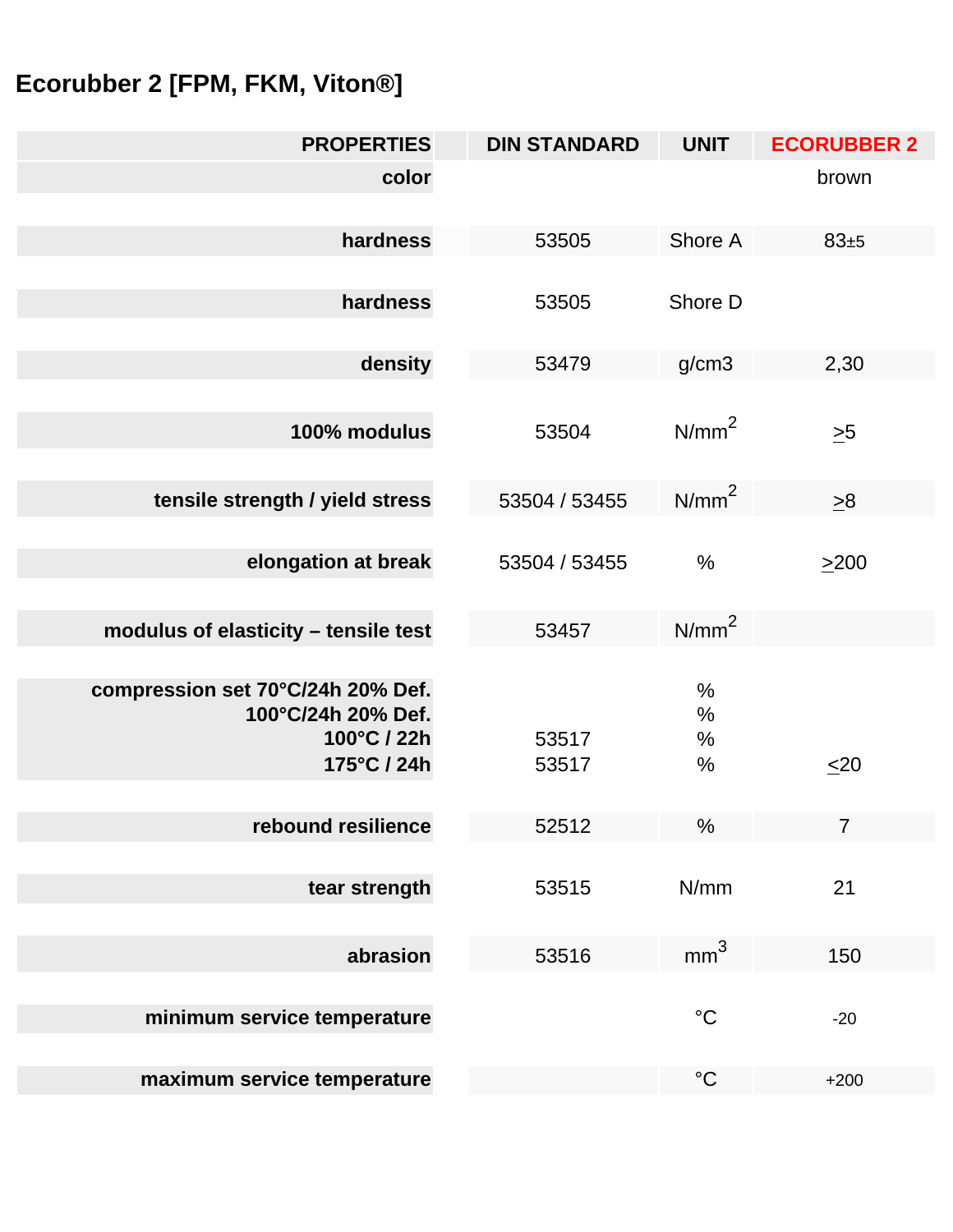## **Ecorubber 2 [FPM, FKM, Viton®]**

| <b>PROPERTIES</b>                                                                     | <b>DIN STANDARD</b> | <b>UNIT</b>               | <b>ECORUBBER 2</b> |
|---------------------------------------------------------------------------------------|---------------------|---------------------------|--------------------|
| color                                                                                 |                     |                           | brown              |
| hardness                                                                              | 53505               | Shore A                   | 83±5               |
| hardness                                                                              | 53505               | Shore D                   |                    |
| density                                                                               | 53479               | g/cm3                     | 2,30               |
| 100% modulus                                                                          | 53504               | N/mm <sup>2</sup>         | $\geq 5$           |
| tensile strength / yield stress                                                       | 53504 / 53455       | N/mm <sup>2</sup>         | $\geq 8$           |
| elongation at break                                                                   | 53504 / 53455       | $\frac{0}{0}$             | $\geq$ 200         |
| modulus of elasticity - tensile test                                                  | 53457               | N/mm <sup>2</sup>         |                    |
| compression set 70°C/24h 20% Def.<br>100°C/24h 20% Def.<br>100°C / 22h<br>175°C / 24h | 53517<br>53517      | $\%$<br>$\%$<br>$\%$<br>% | $\leq 20$          |
| rebound resilience                                                                    | 52512               | %                         | $7\overline{ }$    |
| tear strength                                                                         | 53515               | N/mm                      | 21                 |
| abrasion                                                                              | 53516               | mm <sup>3</sup>           | 150                |
| minimum service temperature                                                           |                     | $\rm ^{\circ}C$           | $-20$              |
| maximum service temperature                                                           |                     | $\rm ^{\circ}C$           | $+200$             |